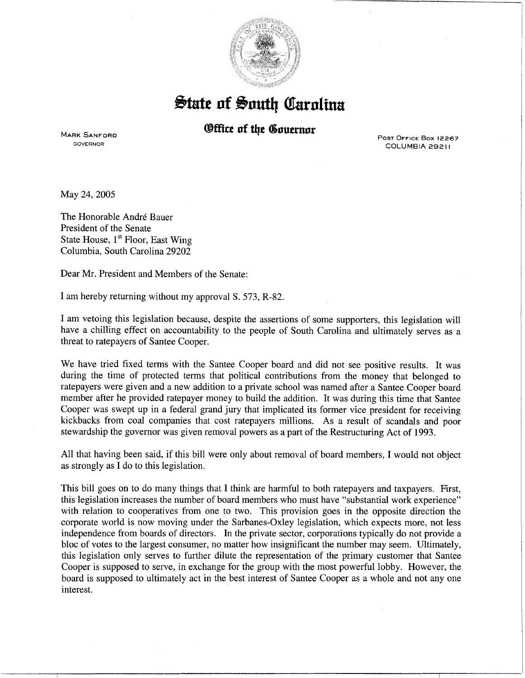

## $\frac{1}{2}$ tate of South Carolina

## *®ffice of the Governor*

MARK SANFORD GOVERNOR

POST OFFICE Box 12267 COLUMBIA 29211

May 24,2005

The Honorable Andre Bauer President of the Senate State House,  $1<sup>st</sup>$  Floor, East Wing Colurnbia, South Carolina 29202

Dear Mr. President and Members of the Senate:

I am hereby returning without my approval S. 573, R-82.

I am vetoing this legislation because, despite the assertions of some supporters, this legislation will have a chilling effect on accountability to the people of South Carolina and ultimately serves as a threat to ratepayers of Santee Cooper.

We have tried fixed terms with the Santee Cooper board and did not see positive results. It was during the time of protected terms that political contributions from the money that belonged to ratepayers were given and a new addition to a private school was named after a Santee Cooper board member after he provided ratepayer money to build the addition. It was during this time that Santee Cooper was swept up in a federal grand jury that implicated its former vice president for receiving kickbacks from coal companies that cost ratepayers millions. As a result of scandals and poor stewardship the governor was given removal powers as a part of the Restructuring Act of 1993.

All that having been said, if this bill were only about removal of board members, I would not object as strongly as I do to this legislation.

This bill goes on to do many things that I think are harmful to both ratepayers and taxpayers. First, this legislation increases the number of board members who must have "substantial work experience" with relation to cooperatives from one to two. This provision goes in the opposite direction the corporate world is now moving under the Sarbanes-Oxley legislation, which expects more, not less independence from boards of directors. In the private sector, corporations typically do not provide a bloc of votes to the largest consumer, no matter how insignificant the number may seem. Ultimately, this legislation only serves to further dilute the representation of the primary customer that Santee Cooper is supposed to serve, in exchange for the group with the most powerful lobby. However, the board is supposed to ultimately act in the best interest of Santee Cooper as a whole and not any one interest.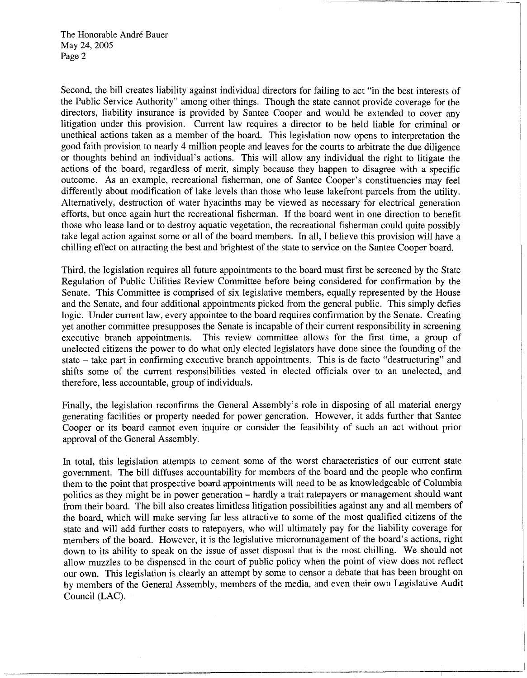The Honorable André Bauer May 24,2005 Page 2

Second, the bill creates liability against individual directors for failing to act "in the best interests of the Public Service Authority" among other things. Though the state cannot provide coverage for the directors, liability insurance is provided by Santee Cooper and would be extended to cover any litigation under this provision. Current law requires a director to be held liable for criminal or unethical actions taken as a member of the board. This legislation now opens to interpretation the good faith provision to nearly 4 million people and leaves for the courts to arbitrate the due diligence or thoughts behind an individual's actions. This will allow any individual the right to litigate the actions of the board, regardless of merit, simply because they happen to disagree with a specific outcome. As an example, recreational fisherman, one of Santee Cooper's constituencies may feel differently about modification of lake levels than those who lease lakefront parcels from the utility. Alternatively, destruction of water hyacinths may be viewed as necessary for electrical generation efforts, but once again hurt the recreational fisherman. If the board went in one direction to benefit those who lease land or to destroy aquatic vegetation, the recreational fisherman could quite possibly take legal action against some or all of the board members. In all, I believe this provision will have a chilling effect on attracting the best and brightest of the state to service on the Santee Cooper board.

Third, the legislation requires all future appointments to the board must first be screened by the State Regulation of Public Utilities Review Committee before being considered for confirmation by the Senate. This Committee is comprised of six legislative members, equally represented by the House and the Senate, and four additional appointments picked from the general public. This simply defies logic. Under current law, every appointee to the board requires confirmation by the Senate. Creating yet another committee presupposes the Senate is incapable of their current responsibility in screening executive branch appointments. This review committee allows for the first time, a group of unelected citizens the power to do what only elected legislators have done since the founding of the state - take part in confirming executive branch appointments. This is de facto "destructuring" and shifts some of the current responsibilities vested in elected officials over to an unelected, and therefore, less accountable, group of individuals.

Finally, the legislation reconfirms the General Assembly's role in disposing of all material energy generating facilities or property needed for power generation. However, it adds further that Santee Cooper or its board cannot even inquire or consider the feasibility of such an act without prior approval of the General Assembly.

In total, this legislation attempts to cement some of the worst characteristics of our current state government. The bill diffuses accountability for members of the board and the people who confirm them to the point that prospective board appointments will need to be as knowledgeable of Columbia politics as they might be in power generation – hardly a trait ratepayers or management should want from their board. The bill also creates limitless litigation possibilities against any and all members of the board, which will make serving far less attractive to some of the most qualified citizens of the state and will add further costs to ratepayers, who will ultimately pay for the liability coverage for members of the board. However, it is the legislative micromanagement of the board's actions, right down to its ability to speak on the issue of asset disposal that is the most chilling. We should not allow muzzles to be dispensed in the court of public policy when the point of view does not reflect our own. This legislation is clearly an attempt by some to censor a debate that has been brought on by members of the General Assembly, members of the media, and even their own Legislative Audit Council (LAC).